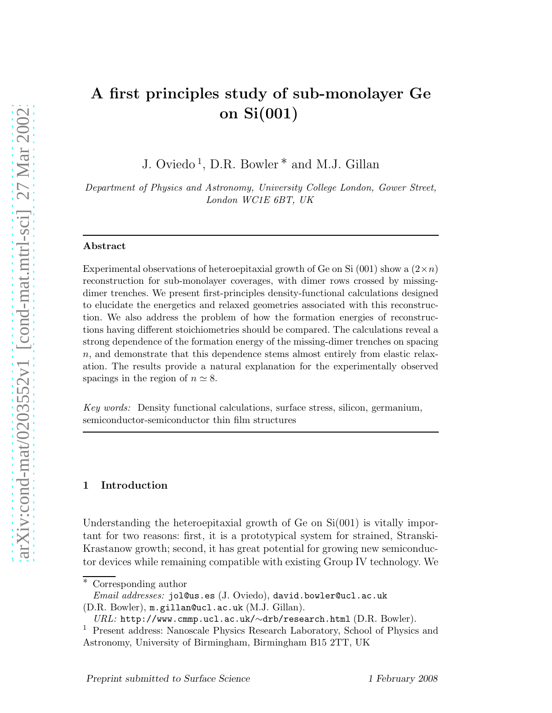# A first principles study of sub-monolayer Ge on Si(001)

J. Oviedo<sup>1</sup>, D.R. Bowler<sup>\*</sup> and M.J. Gillan

Department of Physics and Astronomy, University College London, Gower Street, London WC1E 6BT, UK

#### Abstract

Experimental observations of heteroepitaxial growth of Ge on Si (001) show a  $(2\times n)$ reconstruction for sub-monolayer coverages, with dimer rows crossed by missingdimer trenches. We present first-principles density-functional calculations designed to elucidate the energetics and relaxed geometries associated with this reconstruction. We also address the problem of how the formation energies of reconstructions having different stoichiometries should be compared. The calculations reveal a strong dependence of the formation energy of the missing-dimer trenches on spacing n, and demonstrate that this dependence stems almost entirely from elastic relaxation. The results provide a natural explanation for the experimentally observed spacings in the region of  $n \approx 8$ .

Key words: Density functional calculations, surface stress, silicon, germanium, semiconductor-semiconductor thin film structures

## 1 Introduction

Understanding the heteroepitaxial growth of Ge on  $Si(001)$  is vitally important for two reasons: first, it is a prototypical system for strained, Stranski-Krastanow growth; second, it has great potential for growing new semiconductor devices while remaining compatible with existing Group IV technology. We

<sup>∗</sup> Corresponding author

 $Email \; addresses: \; \text{iollous.es} \; (J. \; \text{Oviedo}), \; \text{david.bowler@ucl.ac.uk}$ 

<sup>(</sup>D.R. Bowler), m.gillan@ucl.ac.uk (M.J. Gillan).

URL: http://www.cmmp.ucl.ac.uk/∼drb/research.html (D.R. Bowler).

<sup>1</sup> Present address: Nanoscale Physics Research Laboratory, School of Physics and Astronomy, University of Birmingham, Birmingham B15 2TT, UK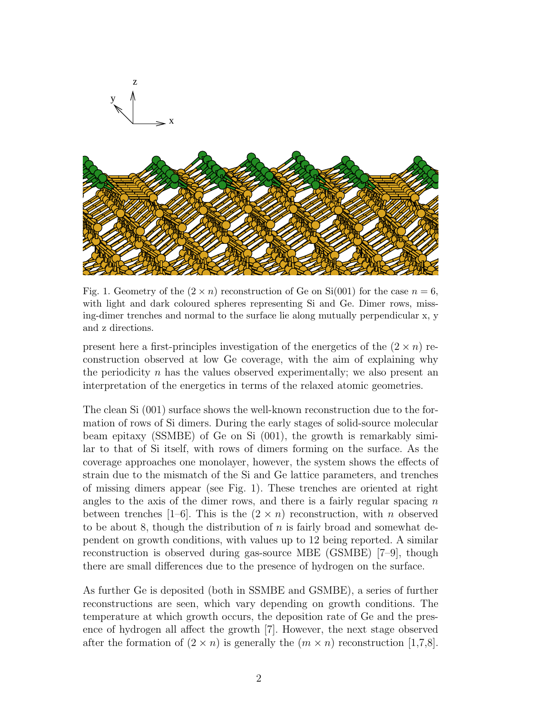

Fig. 1. Geometry of the  $(2 \times n)$  reconstruction of Ge on Si(001) for the case  $n = 6$ , with light and dark coloured spheres representing Si and Ge. Dimer rows, missing-dimer trenches and normal to the surface lie along mutually perpendicular x, y and z directions.

present here a first-principles investigation of the energetics of the  $(2 \times n)$  reconstruction observed at low Ge coverage, with the aim of explaining why the periodicity  $n$  has the values observed experimentally; we also present an interpretation of the energetics in terms of the relaxed atomic geometries.

The clean Si (001) surface shows the well-known reconstruction due to the formation of rows of Si dimers. During the early stages of solid-source molecular beam epitaxy (SSMBE) of Ge on Si (001), the growth is remarkably similar to that of Si itself, with rows of dimers forming on the surface. As the coverage approaches one monolayer, however, the system shows the effects of strain due to the mismatch of the Si and Ge lattice parameters, and trenches of missing dimers appear (see Fig. 1). These trenches are oriented at right angles to the axis of the dimer rows, and there is a fairly regular spacing  $n$ between trenches [1–6]. This is the  $(2 \times n)$  reconstruction, with n observed to be about 8, though the distribution of  $n$  is fairly broad and somewhat dependent on growth conditions, with values up to 12 being reported. A similar reconstruction is observed during gas-source MBE (GSMBE) [7–9], though there are small differences due to the presence of hydrogen on the surface.

As further Ge is deposited (both in SSMBE and GSMBE), a series of further reconstructions are seen, which vary depending on growth conditions. The temperature at which growth occurs, the deposition rate of Ge and the presence of hydrogen all affect the growth [7]. However, the next stage observed after the formation of  $(2 \times n)$  is generally the  $(m \times n)$  reconstruction [1,7,8].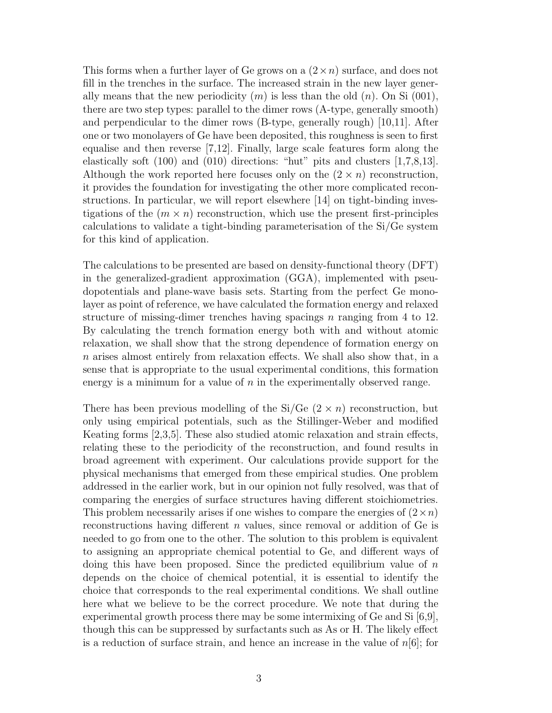This forms when a further layer of Ge grows on a  $(2 \times n)$  surface, and does not fill in the trenches in the surface. The increased strain in the new layer generally means that the new periodicity  $(m)$  is less than the old  $(n)$ . On Si (001), there are two step types: parallel to the dimer rows (A-type, generally smooth) and perpendicular to the dimer rows (B-type, generally rough) [10,11]. After one or two monolayers of Ge have been deposited, this roughness is seen to first equalise and then reverse [7,12]. Finally, large scale features form along the elastically soft (100) and (010) directions: "hut" pits and clusters [1,7,8,13]. Although the work reported here focuses only on the  $(2 \times n)$  reconstruction, it provides the foundation for investigating the other more complicated reconstructions. In particular, we will report elsewhere [14] on tight-binding investigations of the  $(m \times n)$  reconstruction, which use the present first-principles calculations to validate a tight-binding parameterisation of the Si/Ge system for this kind of application.

The calculations to be presented are based on density-functional theory (DFT) in the generalized-gradient approximation (GGA), implemented with pseudopotentials and plane-wave basis sets. Starting from the perfect Ge monolayer as point of reference, we have calculated the formation energy and relaxed structure of missing-dimer trenches having spacings n ranging from 4 to 12. By calculating the trench formation energy both with and without atomic relaxation, we shall show that the strong dependence of formation energy on n arises almost entirely from relaxation effects. We shall also show that, in a sense that is appropriate to the usual experimental conditions, this formation energy is a minimum for a value of  $n$  in the experimentally observed range.

There has been previous modelling of the Si/Ge  $(2 \times n)$  reconstruction, but only using empirical potentials, such as the Stillinger-Weber and modified Keating forms [2,3,5]. These also studied atomic relaxation and strain effects, relating these to the periodicity of the reconstruction, and found results in broad agreement with experiment. Our calculations provide support for the physical mechanisms that emerged from these empirical studies. One problem addressed in the earlier work, but in our opinion not fully resolved, was that of comparing the energies of surface structures having different stoichiometries. This problem necessarily arises if one wishes to compare the energies of  $(2 \times n)$ reconstructions having different  $n$  values, since removal or addition of Ge is needed to go from one to the other. The solution to this problem is equivalent to assigning an appropriate chemical potential to Ge, and different ways of doing this have been proposed. Since the predicted equilibrium value of  $n$ depends on the choice of chemical potential, it is essential to identify the choice that corresponds to the real experimental conditions. We shall outline here what we believe to be the correct procedure. We note that during the experimental growth process there may be some intermixing of Ge and Si [6,9], though this can be suppressed by surfactants such as As or H. The likely effect is a reduction of surface strain, and hence an increase in the value of  $n[6]$ ; for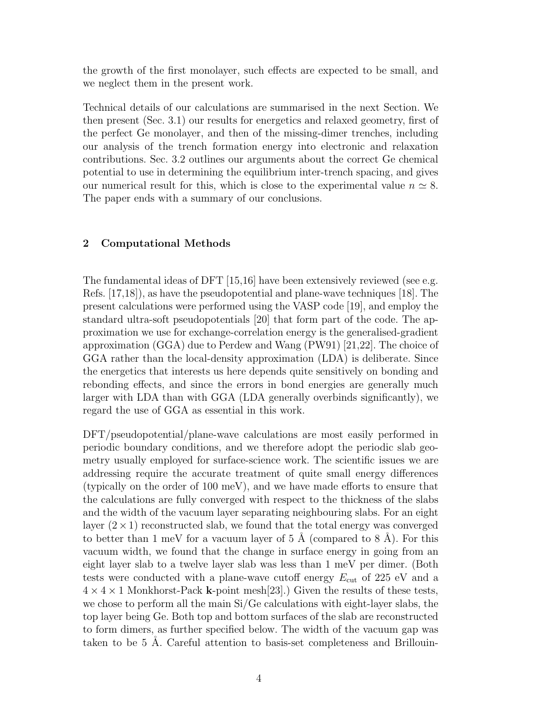the growth of the first monolayer, such effects are expected to be small, and we neglect them in the present work.

Technical details of our calculations are summarised in the next Section. We then present (Sec. 3.1) our results for energetics and relaxed geometry, first of the perfect Ge monolayer, and then of the missing-dimer trenches, including our analysis of the trench formation energy into electronic and relaxation contributions. Sec. 3.2 outlines our arguments about the correct Ge chemical potential to use in determining the equilibrium inter-trench spacing, and gives our numerical result for this, which is close to the experimental value  $n \approx 8$ . The paper ends with a summary of our conclusions.

## 2 Computational Methods

The fundamental ideas of DFT [15,16] have been extensively reviewed (see e.g. Refs. [17,18]), as have the pseudopotential and plane-wave techniques [18]. The present calculations were performed using the VASP code [19], and employ the standard ultra-soft pseudopotentials [20] that form part of the code. The approximation we use for exchange-correlation energy is the generalised-gradient approximation (GGA) due to Perdew and Wang (PW91) [21,22]. The choice of GGA rather than the local-density approximation (LDA) is deliberate. Since the energetics that interests us here depends quite sensitively on bonding and rebonding effects, and since the errors in bond energies are generally much larger with LDA than with GGA (LDA generally overbinds significantly), we regard the use of GGA as essential in this work.

DFT/pseudopotential/plane-wave calculations are most easily performed in periodic boundary conditions, and we therefore adopt the periodic slab geometry usually employed for surface-science work. The scientific issues we are addressing require the accurate treatment of quite small energy differences (typically on the order of 100 meV), and we have made efforts to ensure that the calculations are fully converged with respect to the thickness of the slabs and the width of the vacuum layer separating neighbouring slabs. For an eight layer  $(2 \times 1)$  reconstructed slab, we found that the total energy was converged to better than 1 meV for a vacuum layer of  $5 \text{ Å}$  (compared to  $8 \text{ Å}$ ). For this vacuum width, we found that the change in surface energy in going from an eight layer slab to a twelve layer slab was less than 1 meV per dimer. (Both tests were conducted with a plane-wave cutoff energy  $E_{\text{cut}}$  of 225 eV and a  $4 \times 4 \times 1$  Monkhorst-Pack **k**-point mesh[23].) Given the results of these tests, we chose to perform all the main Si/Ge calculations with eight-layer slabs, the top layer being Ge. Both top and bottom surfaces of the slab are reconstructed to form dimers, as further specified below. The width of the vacuum gap was taken to be  $5 \text{ Å}$ . Careful attention to basis-set completeness and Brillouin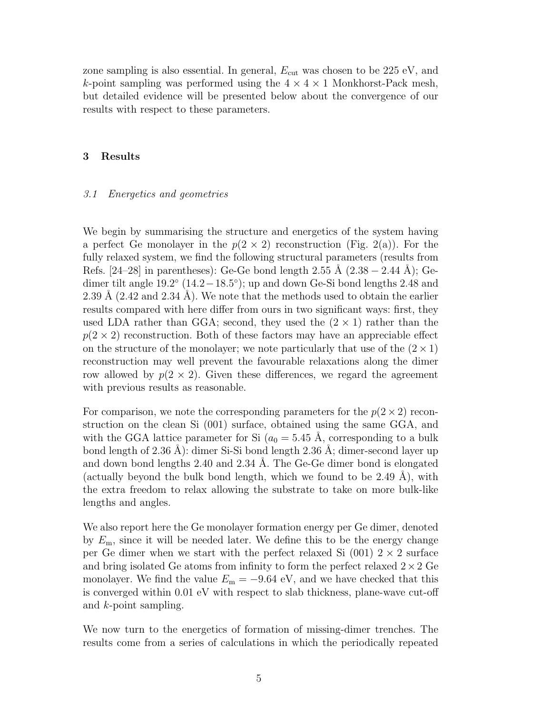zone sampling is also essential. In general,  $E_{\text{cut}}$  was chosen to be 225 eV, and k-point sampling was performed using the  $4 \times 4 \times 1$  Monkhorst-Pack mesh, but detailed evidence will be presented below about the convergence of our results with respect to these parameters.

#### 3 Results

#### 3.1 Energetics and geometries

We begin by summarising the structure and energetics of the system having a perfect Ge monolayer in the  $p(2 \times 2)$  reconstruction (Fig. 2(a)). For the fully relaxed system, we find the following structural parameters (results from Refs. [24–28] in parentheses): Ge-Ge bond length 2.55 Å (2.38 – 2.44 Å); Gedimer tilt angle  $19.2^\circ$   $(14.2-18.5^\circ)$ ; up and down Ge-Si bond lengths 2.48 and 2.39 Å  $(2.42 \text{ and } 2.34 \text{ Å})$ . We note that the methods used to obtain the earlier results compared with here differ from ours in two significant ways: first, they used LDA rather than GGA; second, they used the  $(2 \times 1)$  rather than the  $p(2 \times 2)$  reconstruction. Both of these factors may have an appreciable effect on the structure of the monolayer; we note particularly that use of the  $(2 \times 1)$ reconstruction may well prevent the favourable relaxations along the dimer row allowed by  $p(2 \times 2)$ . Given these differences, we regard the agreement with previous results as reasonable.

For comparison, we note the corresponding parameters for the  $p(2 \times 2)$  reconstruction on the clean Si (001) surface, obtained using the same GGA, and with the GGA lattice parameter for Si  $(a_0 = 5.45 \text{ Å}, \text{corresponding to a bulk})$ bond length of 2.36 Å): dimer Si-Si bond length 2.36 Å; dimer-second layer up and down bond lengths  $2.40$  and  $2.34$  Å. The Ge-Ge dimer bond is elongated (actually beyond the bulk bond length, which we found to be  $2.49$  Å), with the extra freedom to relax allowing the substrate to take on more bulk-like lengths and angles.

We also report here the Ge monolayer formation energy per Ge dimer, denoted by  $E_{\rm m}$ , since it will be needed later. We define this to be the energy change per Ge dimer when we start with the perfect relaxed Si  $(001)$  2  $\times$  2 surface and bring isolated Ge atoms from infinity to form the perfect relaxed  $2 \times 2$  Ge monolayer. We find the value  $E_m = -9.64$  eV, and we have checked that this is converged within 0.01 eV with respect to slab thickness, plane-wave cut-off and k-point sampling.

We now turn to the energetics of formation of missing-dimer trenches. The results come from a series of calculations in which the periodically repeated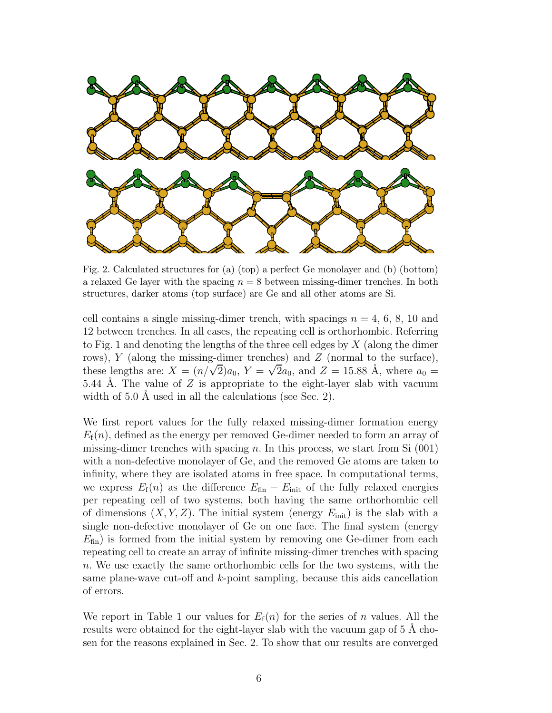

Fig. 2. Calculated structures for (a) (top) a perfect Ge monolayer and (b) (bottom) a relaxed Ge layer with the spacing  $n = 8$  between missing-dimer trenches. In both structures, darker atoms (top surface) are Ge and all other atoms are Si.

cell contains a single missing-dimer trench, with spacings  $n = 4, 6, 8, 10$  and 12 between trenches. In all cases, the repeating cell is orthorhombic. Referring to Fig. 1 and denoting the lengths of the three cell edges by  $X$  (along the dimer rows),  $Y$  (along the missing-dimer trenches) and  $Z$  (normal to the surface), these lengths are:  $X = (n/\sqrt{2})a_0$ ,  $Y = \sqrt{2}a_0$ , and  $Z = 15.88$  Å, where  $a_0 =$ 5.44 Å. The value of Z is appropriate to the eight-layer slab with vacuum width of  $5.0 \text{ Å}$  used in all the calculations (see Sec. 2).

We first report values for the fully relaxed missing-dimer formation energy  $E_f(n)$ , defined as the energy per removed Ge-dimer needed to form an array of missing-dimer trenches with spacing n. In this process, we start from Si  $(001)$ with a non-defective monolayer of Ge, and the removed Ge atoms are taken to infinity, where they are isolated atoms in free space. In computational terms, we express  $E_f(n)$  as the difference  $E_{fin} - E_{init}$  of the fully relaxed energies per repeating cell of two systems, both having the same orthorhombic cell of dimensions  $(X, Y, Z)$ . The initial system (energy  $E_{\text{init}}$ ) is the slab with a single non-defective monolayer of Ge on one face. The final system (energy  $E_{fin}$ ) is formed from the initial system by removing one Ge-dimer from each repeating cell to create an array of infinite missing-dimer trenches with spacing n. We use exactly the same orthorhombic cells for the two systems, with the same plane-wave cut-off and  $k$ -point sampling, because this aids cancellation of errors.

We report in Table 1 our values for  $E_f(n)$  for the series of n values. All the results were obtained for the eight-layer slab with the vacuum gap of 5 Å chosen for the reasons explained in Sec. 2. To show that our results are converged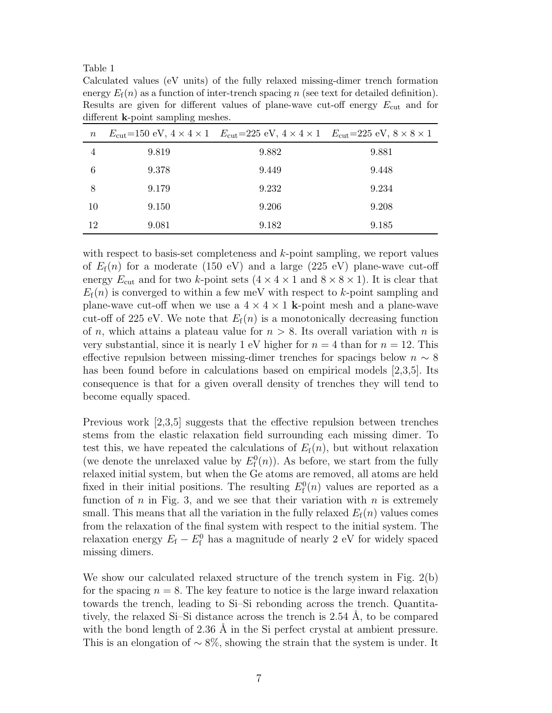Table 1

Calculated values (eV units) of the fully relaxed missing-dimer trench formation energy  $E_f(n)$  as a function of inter-trench spacing n (see text for detailed definition). Results are given for different values of plane-wave cut-off energy  $E_{\text{cut}}$  and for different k-point sampling meshes.

| $\, n$ |       | $E_{\rm cut}$ =150 eV, $4 \times 4 \times 1$ $E_{\rm cut}$ =225 eV, $4 \times 4 \times 1$ $E_{\rm cut}$ =225 eV, $8 \times 8 \times 1$ |       |
|--------|-------|----------------------------------------------------------------------------------------------------------------------------------------|-------|
| 4      | 9.819 | 9.882                                                                                                                                  | 9.881 |
| 6      | 9.378 | 9.449                                                                                                                                  | 9.448 |
| 8      | 9.179 | 9.232                                                                                                                                  | 9.234 |
| 10     | 9.150 | 9.206                                                                                                                                  | 9.208 |
| 12     | 9.081 | 9.182                                                                                                                                  | 9.185 |

with respect to basis-set completeness and k-point sampling, we report values of  $E_f(n)$  for a moderate (150 eV) and a large (225 eV) plane-wave cut-off energy  $E_{\text{cut}}$  and for two k-point sets  $(4 \times 4 \times 1 \text{ and } 8 \times 8 \times 1)$ . It is clear that  $E_f(n)$  is converged to within a few meV with respect to k-point sampling and plane-wave cut-off when we use a  $4 \times 4 \times 1$  k-point mesh and a plane-wave cut-off of 225 eV. We note that  $E_f(n)$  is a monotonically decreasing function of n, which attains a plateau value for  $n > 8$ . Its overall variation with n is very substantial, since it is nearly 1 eV higher for  $n = 4$  than for  $n = 12$ . This effective repulsion between missing-dimer trenches for spacings below  $n \sim 8$ has been found before in calculations based on empirical models [2,3,5]. Its consequence is that for a given overall density of trenches they will tend to become equally spaced.

Previous work [2,3,5] suggests that the effective repulsion between trenches stems from the elastic relaxation field surrounding each missing dimer. To test this, we have repeated the calculations of  $E_f(n)$ , but without relaxation (we denote the unrelaxed value by  $E_{\rm f}^{0}(n)$ ). As before, we start from the fully relaxed initial system, but when the Ge atoms are removed, all atoms are held fixed in their initial positions. The resulting  $E_{\rm f}^0(n)$  values are reported as a function of  $n$  in Fig. 3, and we see that their variation with  $n$  is extremely small. This means that all the variation in the fully relaxed  $E_f(n)$  values comes from the relaxation of the final system with respect to the initial system. The relaxation energy  $E_f - E_f^0$  has a magnitude of nearly 2 eV for widely spaced missing dimers.

We show our calculated relaxed structure of the trench system in Fig. 2(b) for the spacing  $n = 8$ . The key feature to notice is the large inward relaxation towards the trench, leading to Si–Si rebonding across the trench. Quantitatively, the relaxed Si-Si distance across the trench is  $2.54$  Å, to be compared with the bond length of  $2.36 \text{ Å}$  in the Si perfect crystal at ambient pressure. This is an elongation of  $\sim 8\%$ , showing the strain that the system is under. It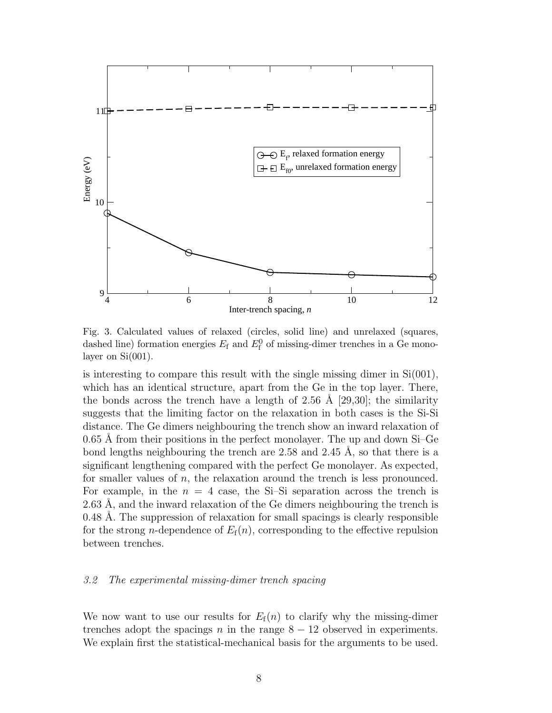

Fig. 3. Calculated values of relaxed (circles, solid line) and unrelaxed (squares, dashed line) formation energies  $E_f$  and  $E_f^0$  of missing-dimer trenches in a Ge monolayer on  $Si(001)$ .

is interesting to compare this result with the single missing dimer in Si(001), which has an identical structure, apart from the Ge in the top layer. There, the bonds across the trench have a length of 2.56 Å [29,30]; the similarity suggests that the limiting factor on the relaxation in both cases is the Si-Si distance. The Ge dimers neighbouring the trench show an inward relaxation of  $0.65$  Å from their positions in the perfect monolayer. The up and down Si–Ge bond lengths neighbouring the trench are  $2.58$  and  $2.45$  Å, so that there is a significant lengthening compared with the perfect Ge monolayer. As expected, for smaller values of n, the relaxation around the trench is less pronounced. For example, in the  $n = 4$  case, the Si-Si separation across the trench is  $2.63$  Å, and the inward relaxation of the Ge dimers neighbouring the trench is 0.48 Å. The suppression of relaxation for small spacings is clearly responsible for the strong *n*-dependence of  $E_f(n)$ , corresponding to the effective repulsion between trenches.

#### 3.2 The experimental missing-dimer trench spacing

We now want to use our results for  $E_f(n)$  to clarify why the missing-dimer trenches adopt the spacings n in the range  $8 - 12$  observed in experiments. We explain first the statistical-mechanical basis for the arguments to be used.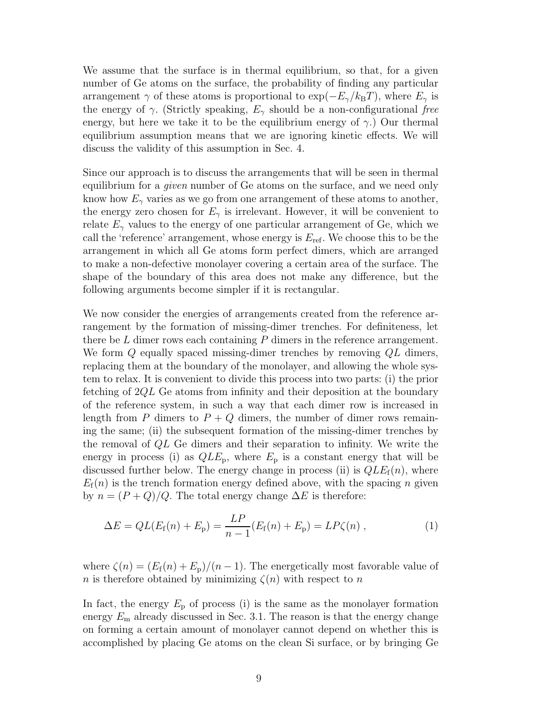We assume that the surface is in thermal equilibrium, so that, for a given number of Ge atoms on the surface, the probability of finding any particular arrangement  $\gamma$  of these atoms is proportional to  $\exp(-E_{\gamma}/k_BT)$ , where  $E_{\gamma}$  is the energy of  $\gamma$ . (Strictly speaking,  $E_{\gamma}$  should be a non-configurational free energy, but here we take it to be the equilibrium energy of  $\gamma$ .) Our thermal equilibrium assumption means that we are ignoring kinetic effects. We will discuss the validity of this assumption in Sec. 4.

Since our approach is to discuss the arrangements that will be seen in thermal equilibrium for a given number of Ge atoms on the surface, and we need only know how  $E_{\gamma}$  varies as we go from one arrangement of these atoms to another, the energy zero chosen for  $E_{\gamma}$  is irrelevant. However, it will be convenient to relate  $E_{\gamma}$  values to the energy of one particular arrangement of Ge, which we call the 'reference' arrangement, whose energy is  $E_{\text{ref}}$ . We choose this to be the arrangement in which all Ge atoms form perfect dimers, which are arranged to make a non-defective monolayer covering a certain area of the surface. The shape of the boundary of this area does not make any difference, but the following arguments become simpler if it is rectangular.

We now consider the energies of arrangements created from the reference arrangement by the formation of missing-dimer trenches. For definiteness, let there be  $L$  dimer rows each containing  $P$  dimers in the reference arrangement. We form Q equally spaced missing-dimer trenches by removing  $QL$  dimers, replacing them at the boundary of the monolayer, and allowing the whole system to relax. It is convenient to divide this process into two parts: (i) the prior fetching of  $2QL$  Ge atoms from infinity and their deposition at the boundary of the reference system, in such a way that each dimer row is increased in length from P dimers to  $P + Q$  dimers, the number of dimer rows remaining the same; (ii) the subsequent formation of the missing-dimer trenches by the removal of QL Ge dimers and their separation to infinity. We write the energy in process (i) as  $QLE_p$ , where  $E_p$  is a constant energy that will be discussed further below. The energy change in process (ii) is  $QLE_f(n)$ , where  $E_f(n)$  is the trench formation energy defined above, with the spacing n given by  $n = (P + Q)/Q$ . The total energy change  $\Delta E$  is therefore:

$$
\Delta E = QL(E_{\rm f}(n) + E_{\rm p}) = \frac{LP}{n-1}(E_{\rm f}(n) + E_{\rm p}) = LP\zeta(n) , \qquad (1)
$$

where  $\zeta(n) = (E_{\rm f}(n) + E_{\rm p})/(n-1)$ . The energetically most favorable value of n is therefore obtained by minimizing  $\zeta(n)$  with respect to n

In fact, the energy  $E_p$  of process (i) is the same as the monolayer formation energy  $E_{\rm m}$  already discussed in Sec. 3.1. The reason is that the energy change on forming a certain amount of monolayer cannot depend on whether this is accomplished by placing Ge atoms on the clean Si surface, or by bringing Ge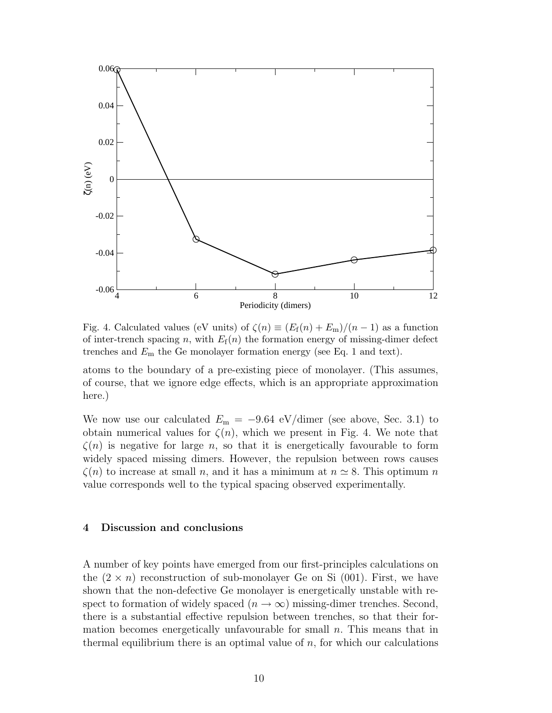

Fig. 4. Calculated values (eV units) of  $\zeta(n) \equiv (E_f(n) + E_m)/(n-1)$  as a function of inter-trench spacing n, with  $E_f(n)$  the formation energy of missing-dimer defect trenches and  $E_{\rm m}$  the Ge monolayer formation energy (see Eq. 1 and text).

atoms to the boundary of a pre-existing piece of monolayer. (This assumes, of course, that we ignore edge effects, which is an appropriate approximation here.)

We now use our calculated  $E_{\rm m} = -9.64 \text{ eV/dimer}$  (see above, Sec. 3.1) to obtain numerical values for  $\zeta(n)$ , which we present in Fig. 4. We note that  $\zeta(n)$  is negative for large n, so that it is energetically favourable to form widely spaced missing dimers. However, the repulsion between rows causes  $\zeta(n)$  to increase at small n, and it has a minimum at  $n \simeq 8$ . This optimum n value corresponds well to the typical spacing observed experimentally.

### 4 Discussion and conclusions

A number of key points have emerged from our first-principles calculations on the  $(2 \times n)$  reconstruction of sub-monolayer Ge on Si  $(001)$ . First, we have shown that the non-defective Ge monolayer is energetically unstable with respect to formation of widely spaced  $(n \to \infty)$  missing-dimer trenches. Second, there is a substantial effective repulsion between trenches, so that their formation becomes energetically unfavourable for small  $n$ . This means that in thermal equilibrium there is an optimal value of  $n$ , for which our calculations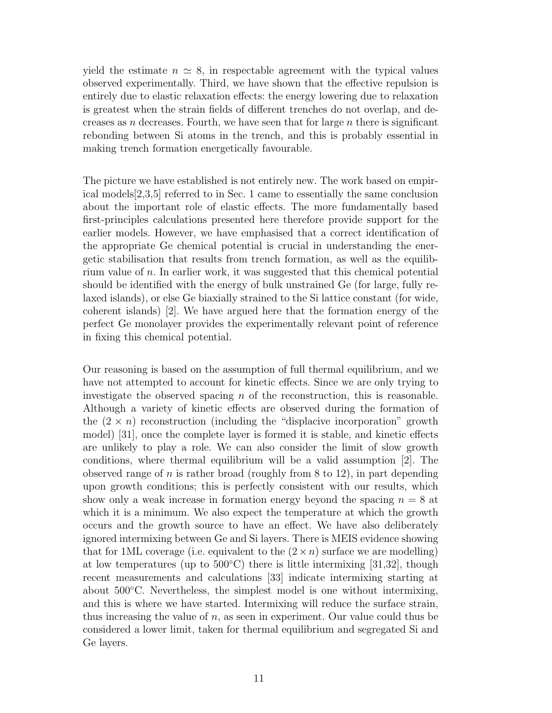yield the estimate  $n \simeq 8$ , in respectable agreement with the typical values observed experimentally. Third, we have shown that the effective repulsion is entirely due to elastic relaxation effects: the energy lowering due to relaxation is greatest when the strain fields of different trenches do not overlap, and decreases as n decreases. Fourth, we have seen that for large  $n$  there is significant rebonding between Si atoms in the trench, and this is probably essential in making trench formation energetically favourable.

The picture we have established is not entirely new. The work based on empirical models[2,3,5] referred to in Sec. 1 came to essentially the same conclusion about the important role of elastic effects. The more fundamentally based first-principles calculations presented here therefore provide support for the earlier models. However, we have emphasised that a correct identification of the appropriate Ge chemical potential is crucial in understanding the energetic stabilisation that results from trench formation, as well as the equilibrium value of  $n$ . In earlier work, it was suggested that this chemical potential should be identified with the energy of bulk unstrained Ge (for large, fully relaxed islands), or else Ge biaxially strained to the Si lattice constant (for wide, coherent islands) [2]. We have argued here that the formation energy of the perfect Ge monolayer provides the experimentally relevant point of reference in fixing this chemical potential.

Our reasoning is based on the assumption of full thermal equilibrium, and we have not attempted to account for kinetic effects. Since we are only trying to investigate the observed spacing  $n$  of the reconstruction, this is reasonable. Although a variety of kinetic effects are observed during the formation of the  $(2 \times n)$  reconstruction (including the "displacive incorporation" growth model) [31], once the complete layer is formed it is stable, and kinetic effects are unlikely to play a role. We can also consider the limit of slow growth conditions, where thermal equilibrium will be a valid assumption [2]. The observed range of n is rather broad (roughly from 8 to 12), in part depending upon growth conditions; this is perfectly consistent with our results, which show only a weak increase in formation energy beyond the spacing  $n = 8$  at which it is a minimum. We also expect the temperature at which the growth occurs and the growth source to have an effect. We have also deliberately ignored intermixing between Ge and Si layers. There is MEIS evidence showing that for 1ML coverage (i.e. equivalent to the  $(2 \times n)$ ) surface we are modelling) at low temperatures (up to  $500^{\circ}$ C) there is little intermixing [31,32], though recent measurements and calculations [33] indicate intermixing starting at about 500◦C. Nevertheless, the simplest model is one without intermixing, and this is where we have started. Intermixing will reduce the surface strain, thus increasing the value of  $n$ , as seen in experiment. Our value could thus be considered a lower limit, taken for thermal equilibrium and segregated Si and Ge layers.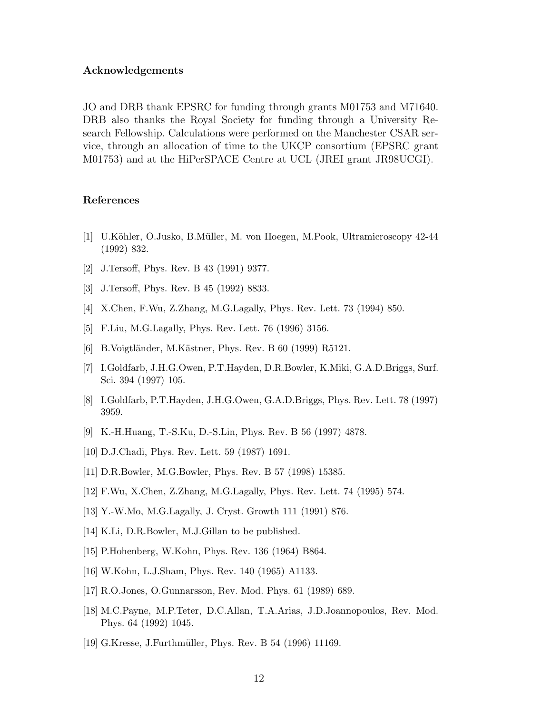#### Acknowledgements

JO and DRB thank EPSRC for funding through grants M01753 and M71640. DRB also thanks the Royal Society for funding through a University Research Fellowship. Calculations were performed on the Manchester CSAR service, through an allocation of time to the UKCP consortium (EPSRC grant M01753) and at the HiPerSPACE Centre at UCL (JREI grant JR98UCGI).

#### References

- [1] U.K¨ohler, O.Jusko, B.M¨uller, M. von Hoegen, M.Pook, Ultramicroscopy 42-44 (1992) 832.
- [2] J.Tersoff, Phys. Rev. B 43 (1991) 9377.
- [3] J.Tersoff, Phys. Rev. B 45 (1992) 8833.
- [4] X.Chen, F.Wu, Z.Zhang, M.G.Lagally, Phys. Rev. Lett. 73 (1994) 850.
- [5] F.Liu, M.G.Lagally, Phys. Rev. Lett. 76 (1996) 3156.
- [6] B. Voigtländer, M. Kästner, Phys. Rev. B 60 (1999) R5121.
- [7] I.Goldfarb, J.H.G.Owen, P.T.Hayden, D.R.Bowler, K.Miki, G.A.D.Briggs, Surf. Sci. 394 (1997) 105.
- [8] I.Goldfarb, P.T.Hayden, J.H.G.Owen, G.A.D.Briggs, Phys. Rev. Lett. 78 (1997) 3959.
- [9] K.-H.Huang, T.-S.Ku, D.-S.Lin, Phys. Rev. B 56 (1997) 4878.
- [10] D.J.Chadi, Phys. Rev. Lett. 59 (1987) 1691.
- [11] D.R.Bowler, M.G.Bowler, Phys. Rev. B 57 (1998) 15385.
- [12] F.Wu, X.Chen, Z.Zhang, M.G.Lagally, Phys. Rev. Lett. 74 (1995) 574.
- [13] Y.-W.Mo, M.G.Lagally, J. Cryst. Growth 111 (1991) 876.
- [14] K.Li, D.R.Bowler, M.J.Gillan to be published.
- [15] P.Hohenberg, W.Kohn, Phys. Rev. 136 (1964) B864.
- [16] W.Kohn, L.J.Sham, Phys. Rev. 140 (1965) A1133.
- [17] R.O.Jones, O.Gunnarsson, Rev. Mod. Phys. 61 (1989) 689.
- [18] M.C.Payne, M.P.Teter, D.C.Allan, T.A.Arias, J.D.Joannopoulos, Rev. Mod. Phys. 64 (1992) 1045.
- [19] G.Kresse, J.Furthmüller, Phys. Rev. B 54 (1996) 11169.